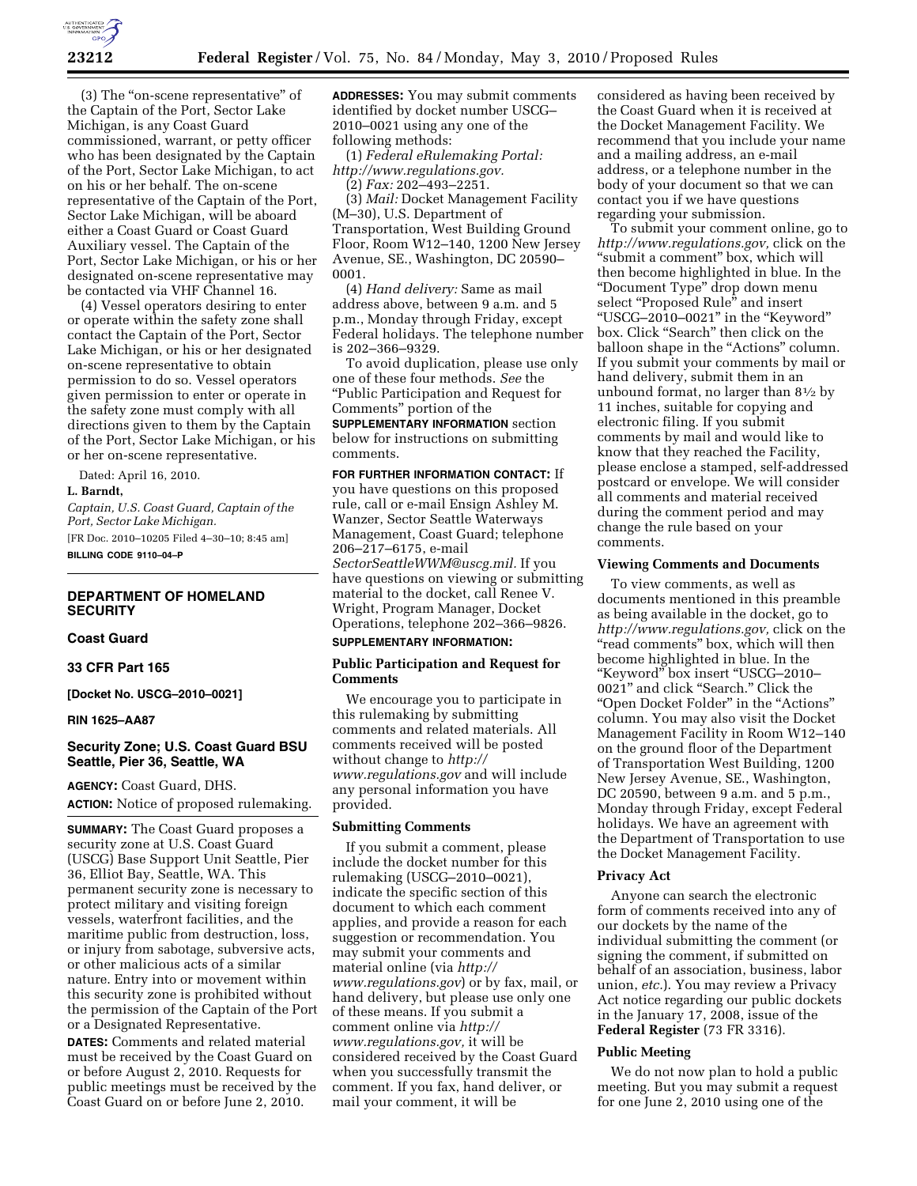

(3) The ''on-scene representative'' of the Captain of the Port, Sector Lake Michigan, is any Coast Guard commissioned, warrant, or petty officer who has been designated by the Captain of the Port, Sector Lake Michigan, to act on his or her behalf. The on-scene representative of the Captain of the Port, Sector Lake Michigan, will be aboard either a Coast Guard or Coast Guard Auxiliary vessel. The Captain of the Port, Sector Lake Michigan, or his or her designated on-scene representative may be contacted via VHF Channel 16.

(4) Vessel operators desiring to enter or operate within the safety zone shall contact the Captain of the Port, Sector Lake Michigan, or his or her designated on-scene representative to obtain permission to do so. Vessel operators given permission to enter or operate in the safety zone must comply with all directions given to them by the Captain of the Port, Sector Lake Michigan, or his or her on-scene representative.

Dated: April 16, 2010. **L. Barndt,** 

*Captain, U.S. Coast Guard, Captain of the Port, Sector Lake Michigan.* 

[FR Doc. 2010–10205 Filed 4–30–10; 8:45 am] **BILLING CODE 9110–04–P** 

# **DEPARTMENT OF HOMELAND SECURITY**

# **Coast Guard**

## **33 CFR Part 165**

**[Docket No. USCG–2010–0021]** 

### **RIN 1625–AA87**

# **Security Zone; U.S. Coast Guard BSU Seattle, Pier 36, Seattle, WA**

**AGENCY:** Coast Guard, DHS. **ACTION:** Notice of proposed rulemaking.

**SUMMARY:** The Coast Guard proposes a security zone at U.S. Coast Guard (USCG) Base Support Unit Seattle, Pier 36, Elliot Bay, Seattle, WA. This permanent security zone is necessary to protect military and visiting foreign vessels, waterfront facilities, and the maritime public from destruction, loss, or injury from sabotage, subversive acts, or other malicious acts of a similar nature. Entry into or movement within this security zone is prohibited without the permission of the Captain of the Port or a Designated Representative.

**DATES:** Comments and related material must be received by the Coast Guard on or before August 2, 2010. Requests for public meetings must be received by the Coast Guard on or before June 2, 2010.

**ADDRESSES:** You may submit comments identified by docket number USCG– 2010–0021 using any one of the following methods:

(1) *Federal eRulemaking Portal: http://www.regulations.gov.* 

(2) *Fax:* 202–493–2251.

(3) *Mail:* Docket Management Facility (M–30), U.S. Department of Transportation, West Building Ground Floor, Room W12–140, 1200 New Jersey Avenue, SE., Washington, DC 20590– 0001.

(4) *Hand delivery:* Same as mail address above, between 9 a.m. and 5 p.m., Monday through Friday, except Federal holidays. The telephone number is 202–366–9329.

To avoid duplication, please use only one of these four methods. *See* the ''Public Participation and Request for Comments'' portion of the

**SUPPLEMENTARY INFORMATION** section below for instructions on submitting comments.

#### **FOR FURTHER INFORMATION CONTACT:** If

you have questions on this proposed rule, call or e-mail Ensign Ashley M. Wanzer, Sector Seattle Waterways Management, Coast Guard; telephone 206–217–6175, e-mail *SectorSeattleWWM@uscg.mil.* If you have questions on viewing or submitting material to the docket, call Renee V. Wright, Program Manager, Docket Operations, telephone 202–366–9826.

# **SUPPLEMENTARY INFORMATION:**

## **Public Participation and Request for Comments**

We encourage you to participate in this rulemaking by submitting comments and related materials. All comments received will be posted without change to *http:// www.regulations.gov* and will include any personal information you have provided.

## **Submitting Comments**

If you submit a comment, please include the docket number for this rulemaking (USCG–2010–0021), indicate the specific section of this document to which each comment applies, and provide a reason for each suggestion or recommendation. You may submit your comments and material online (via *http:// www.regulations.gov*) or by fax, mail, or hand delivery, but please use only one of these means. If you submit a comment online via *http:// www.regulations.gov,* it will be considered received by the Coast Guard when you successfully transmit the comment. If you fax, hand deliver, or mail your comment, it will be

considered as having been received by the Coast Guard when it is received at the Docket Management Facility. We recommend that you include your name and a mailing address, an e-mail address, or a telephone number in the body of your document so that we can contact you if we have questions regarding your submission.

To submit your comment online, go to *http://www.regulations.gov,* click on the ''submit a comment'' box, which will then become highlighted in blue. In the ''Document Type'' drop down menu select "Proposed Rule" and insert ''USCG–2010–0021'' in the ''Keyword'' box. Click "Search" then click on the balloon shape in the "Actions" column. If you submit your comments by mail or hand delivery, submit them in an unbound format, no larger than 81⁄2 by 11 inches, suitable for copying and electronic filing. If you submit comments by mail and would like to know that they reached the Facility, please enclose a stamped, self-addressed postcard or envelope. We will consider all comments and material received during the comment period and may change the rule based on your comments.

#### **Viewing Comments and Documents**

To view comments, as well as documents mentioned in this preamble as being available in the docket, go to *http://www.regulations.gov,* click on the "read comments" box, which will then become highlighted in blue. In the ''Keyword'' box insert ''USCG–2010– 0021'' and click ''Search.'' Click the ''Open Docket Folder'' in the ''Actions'' column. You may also visit the Docket Management Facility in Room W12–140 on the ground floor of the Department of Transportation West Building, 1200 New Jersey Avenue, SE., Washington, DC 20590, between 9 a.m. and 5 p.m., Monday through Friday, except Federal holidays. We have an agreement with the Department of Transportation to use the Docket Management Facility.

#### **Privacy Act**

Anyone can search the electronic form of comments received into any of our dockets by the name of the individual submitting the comment (or signing the comment, if submitted on behalf of an association, business, labor union, *etc.*). You may review a Privacy Act notice regarding our public dockets in the January 17, 2008, issue of the **Federal Register** (73 FR 3316).

### **Public Meeting**

We do not now plan to hold a public meeting. But you may submit a request for one June 2, 2010 using one of the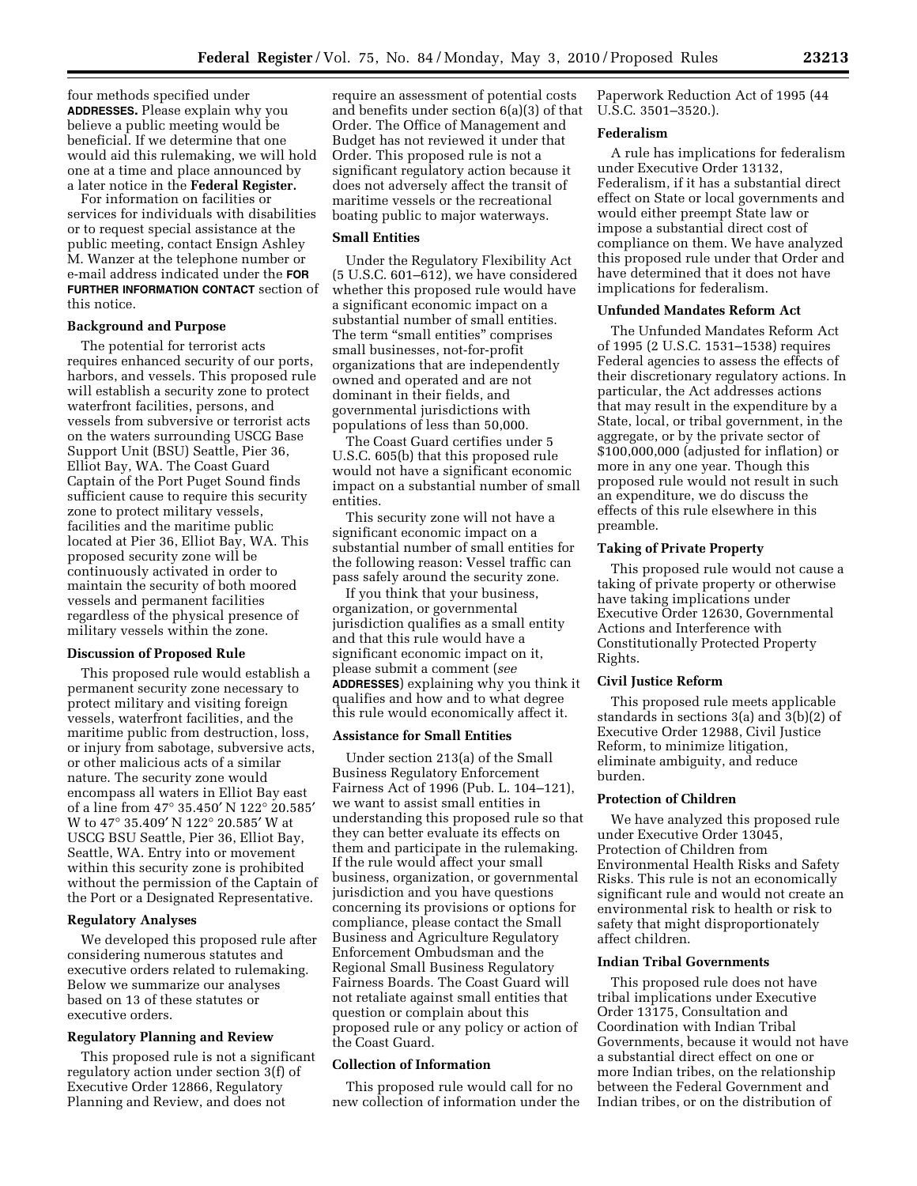four methods specified under **ADDRESSES.** Please explain why you believe a public meeting would be beneficial. If we determine that one would aid this rulemaking, we will hold one at a time and place announced by a later notice in the **Federal Register.** 

For information on facilities or services for individuals with disabilities or to request special assistance at the public meeting, contact Ensign Ashley M. Wanzer at the telephone number or e-mail address indicated under the **FOR FURTHER INFORMATION CONTACT** section of this notice.

## **Background and Purpose**

The potential for terrorist acts requires enhanced security of our ports, harbors, and vessels. This proposed rule will establish a security zone to protect waterfront facilities, persons, and vessels from subversive or terrorist acts on the waters surrounding USCG Base Support Unit (BSU) Seattle, Pier 36, Elliot Bay, WA. The Coast Guard Captain of the Port Puget Sound finds sufficient cause to require this security zone to protect military vessels, facilities and the maritime public located at Pier 36, Elliot Bay, WA. This proposed security zone will be continuously activated in order to maintain the security of both moored vessels and permanent facilities regardless of the physical presence of military vessels within the zone.

#### **Discussion of Proposed Rule**

This proposed rule would establish a permanent security zone necessary to protect military and visiting foreign vessels, waterfront facilities, and the maritime public from destruction, loss, or injury from sabotage, subversive acts, or other malicious acts of a similar nature. The security zone would encompass all waters in Elliot Bay east of a line from 47° 35.450′ N 122° 20.585′ W to 47° 35.409′ N 122° 20.585′ W at USCG BSU Seattle, Pier 36, Elliot Bay, Seattle, WA. Entry into or movement within this security zone is prohibited without the permission of the Captain of the Port or a Designated Representative.

# **Regulatory Analyses**

We developed this proposed rule after considering numerous statutes and executive orders related to rulemaking. Below we summarize our analyses based on 13 of these statutes or executive orders.

#### **Regulatory Planning and Review**

This proposed rule is not a significant regulatory action under section 3(f) of Executive Order 12866, Regulatory Planning and Review, and does not

require an assessment of potential costs and benefits under section 6(a)(3) of that Order. The Office of Management and Budget has not reviewed it under that Order. This proposed rule is not a significant regulatory action because it does not adversely affect the transit of maritime vessels or the recreational boating public to major waterways.

## **Small Entities**

Under the Regulatory Flexibility Act (5 U.S.C. 601–612), we have considered whether this proposed rule would have a significant economic impact on a substantial number of small entities. The term "small entities" comprises small businesses, not-for-profit organizations that are independently owned and operated and are not dominant in their fields, and governmental jurisdictions with populations of less than 50,000.

The Coast Guard certifies under 5 U.S.C. 605(b) that this proposed rule would not have a significant economic impact on a substantial number of small entities.

This security zone will not have a significant economic impact on a substantial number of small entities for the following reason: Vessel traffic can pass safely around the security zone.

If you think that your business, organization, or governmental jurisdiction qualifies as a small entity and that this rule would have a significant economic impact on it, please submit a comment (*see*  **ADDRESSES**) explaining why you think it qualifies and how and to what degree this rule would economically affect it.

## **Assistance for Small Entities**

Under section 213(a) of the Small Business Regulatory Enforcement Fairness Act of 1996 (Pub. L. 104–121), we want to assist small entities in understanding this proposed rule so that they can better evaluate its effects on them and participate in the rulemaking. If the rule would affect your small business, organization, or governmental jurisdiction and you have questions concerning its provisions or options for compliance, please contact the Small Business and Agriculture Regulatory Enforcement Ombudsman and the Regional Small Business Regulatory Fairness Boards. The Coast Guard will not retaliate against small entities that question or complain about this proposed rule or any policy or action of the Coast Guard.

# **Collection of Information**

This proposed rule would call for no new collection of information under the

Paperwork Reduction Act of 1995 (44 U.S.C. 3501–3520.).

## **Federalism**

A rule has implications for federalism under Executive Order 13132, Federalism, if it has a substantial direct effect on State or local governments and would either preempt State law or impose a substantial direct cost of compliance on them. We have analyzed this proposed rule under that Order and have determined that it does not have implications for federalism.

## **Unfunded Mandates Reform Act**

The Unfunded Mandates Reform Act of 1995 (2 U.S.C. 1531–1538) requires Federal agencies to assess the effects of their discretionary regulatory actions. In particular, the Act addresses actions that may result in the expenditure by a State, local, or tribal government, in the aggregate, or by the private sector of \$100,000,000 (adjusted for inflation) or more in any one year. Though this proposed rule would not result in such an expenditure, we do discuss the effects of this rule elsewhere in this preamble.

### **Taking of Private Property**

This proposed rule would not cause a taking of private property or otherwise have taking implications under Executive Order 12630, Governmental Actions and Interference with Constitutionally Protected Property Rights.

# **Civil Justice Reform**

This proposed rule meets applicable standards in sections 3(a) and 3(b)(2) of Executive Order 12988, Civil Justice Reform, to minimize litigation, eliminate ambiguity, and reduce burden.

## **Protection of Children**

We have analyzed this proposed rule under Executive Order 13045, Protection of Children from Environmental Health Risks and Safety Risks. This rule is not an economically significant rule and would not create an environmental risk to health or risk to safety that might disproportionately affect children.

# **Indian Tribal Governments**

This proposed rule does not have tribal implications under Executive Order 13175, Consultation and Coordination with Indian Tribal Governments, because it would not have a substantial direct effect on one or more Indian tribes, on the relationship between the Federal Government and Indian tribes, or on the distribution of